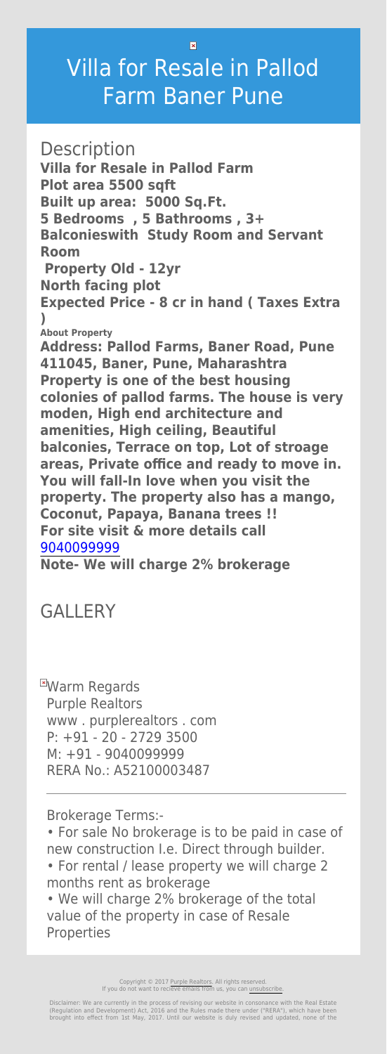$\overline{\mathbf{x}}$ 

## Villa for Resale in Pallod Farm Baner Pune

**Description** 

**Villa for Resale in Pallod Farm Plot area 5500 sqft**

**Built up area: 5000 Sq.Ft.**

**5 Bedrooms , 5 Bathrooms , 3+**

**Balconieswith Study Room and Servant Room**

 **Property Old - 12yr**

**North facing plot**

**Expected Price - 8 cr in hand ( Taxes Extra )**

**About Property**

**EWarm Regards** Purple Realtors www . purplerealtors . com P: +91 - 20 - 2729 3500 M: +91 - 9040099999 RERA No.: A52100003487

**Address: Pallod Farms, Baner Road, Pune 411045, Baner, Pune, Maharashtra Property is one of the best housing colonies of pallod farms. The house is very moden, High end architecture and amenities, High ceiling, Beautiful balconies, Terrace on top, Lot of stroage areas, Private office and ready to move in. You will fall-In love when you visit the property. The property also has a mango, Coconut, Papaya, Banana trees !! For site visit & more details call** [9040099999](#page--1-0)

## **Note- We will charge 2% brokerage**

## GALLERY

Brokerage Terms:-

• For sale No brokerage is to be paid in case of new construction I.e. Direct through builder.

• For rental / lease property we will charge 2 months rent as brokerage

• We will charge 2% brokerage of the total value of the property in case of Resale Properties

> Copyright © 2017 [Purple Realtors](https://purplerealtors.in/). All rights reserved. If you do not want to recieve emails from us, you can [unsubscribe.](#page--1-0)

Disclaimer: We are currently in the process of revising our website in consonance with the Real Estate (Regulation and Development) Act, 2016 and the Rules made there under ("RERA"), which have been brought into effect from 1st May, 2017. Until our website is duly revised and updated, none of the